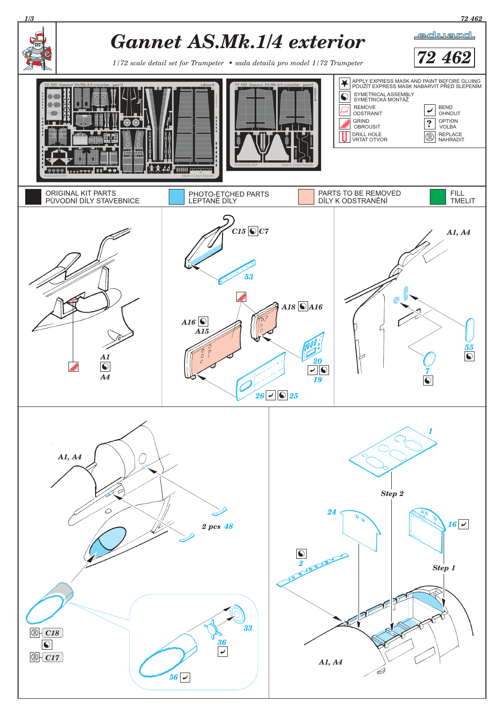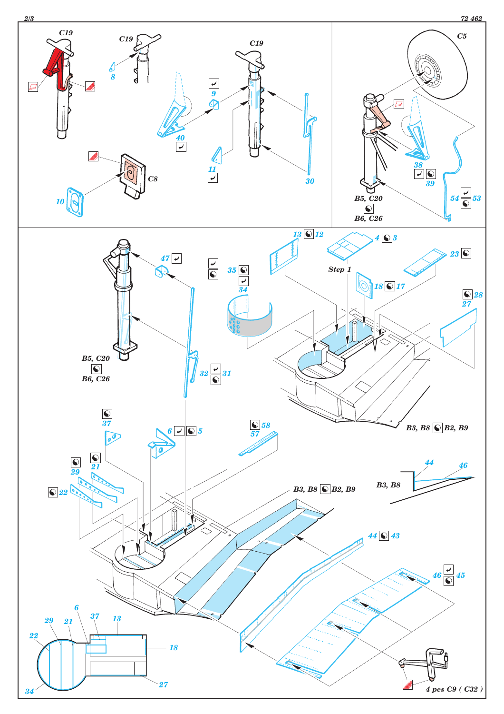